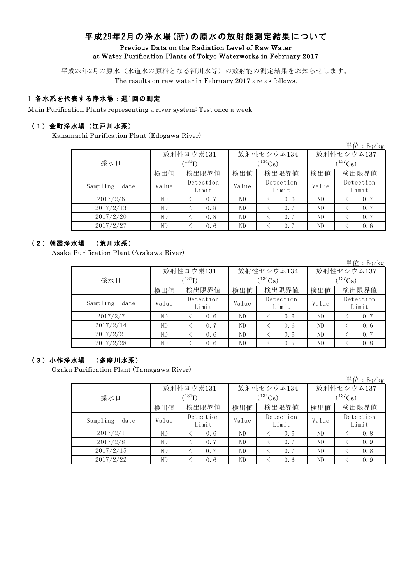# 平成29年2月の浄水場(所)の原水の放射能測定結果について Previous Data on the Radiation Level of Raw Water at Water Purification Plants of Tokyo Waterworks in February 2017

平成29年2月の原水(水道水の原料となる河川水等)の放射能の測定結果をお知らせします。 The results on raw water in February 2017 are as follows.

#### 1 各水系を代表する浄水場:週1回の測定

Main Purification Plants representing a river system: Test once a week

#### (1)金町浄水場(江戸川水系)

Kanamachi Purification Plant (Edogawa River)

|                  |                             |                          |              |                    |                              | 単位: $Bq/kg$        |  |  |
|------------------|-----------------------------|--------------------------|--------------|--------------------|------------------------------|--------------------|--|--|
|                  |                             | 放射性ヨウ素131                |              | 放射性セシウム134         | 放射性セシウム137                   |                    |  |  |
| 採水日              |                             | $^{\prime\,131}{\rm I})$ |              | $^{134}Cs$ )       | $\rm \left(^{137}Cs \right)$ |                    |  |  |
|                  | 検出値                         | 検出限界値                    | 検出値<br>検出限界値 |                    | 検出値                          | 検出限界値              |  |  |
| Sampling<br>date | Detection<br>Value<br>Limit |                          | Value        | Detection<br>Limit | Value                        | Detection<br>Limit |  |  |
|                  |                             |                          |              |                    |                              |                    |  |  |
| 2017/2/6         | ND                          | 0.7                      | ND           | 0.6                | ND                           | 0.7                |  |  |
| 2017/2/13        | ND                          | 0.8                      | ND           | 0.7                | ND                           | 0.7                |  |  |
| 2017/2/20        | ND                          | 0.8                      | ND           | 0.7                | ND                           | 0.7                |  |  |
| 2017/2/27        | ND                          | 0.6                      | ND           | 0.7                | ND                           | 0.6                |  |  |

### (2)朝霞浄水場 (荒川水系)

Asaka Purification Plant (Arakawa River)

単位:Bq/kg

|                  |       | 放射性ヨウ素131                |       | 放射性セシウム134         | 放射性セシウム137  |                    |  |  |
|------------------|-------|--------------------------|-------|--------------------|-------------|--------------------|--|--|
| 採水日              |       | $^{\prime\,131}{\rm I})$ |       | $(134)$ Cs         | $(137)$ Cs) |                    |  |  |
|                  | 検出値   | 検出値<br>検出限界値             |       | 検出限界値              | 検出値         | 検出限界値              |  |  |
| Sampling<br>date | Value | Detection<br>Limit       | Value | Detection<br>Limit | Value       | Detection<br>Limit |  |  |
| 2017/2/7         | ND    | 0.6                      | ND    | 0.6                | ND          | 0.7                |  |  |
| 2017/2/14        | ND    | 0.7                      | ND    | 0.6                | ND          | 0.6                |  |  |
| 2017/2/21        | ND    | 0.6                      | ND    | 0.6                | ND          | 0.7                |  |  |
| 2017/2/28        | ND    | 0.6                      | ND    | 0.5                | ND          | 0.8                |  |  |

### (3)小作浄水場 (多摩川水系)

Ozaku Purification Plant (Tamagawa River)

|                  |       |                    |       |                    |              | 単位: $Bq/kg$        |  |  |
|------------------|-------|--------------------|-------|--------------------|--------------|--------------------|--|--|
|                  |       | 放射性ヨウ素131          |       | 放射性セシウム134         | 放射性セシウム137   |                    |  |  |
| 採水日              | (131) |                    |       | $(134)$ Cs         | $(^{137}Cs)$ |                    |  |  |
|                  | 検出値   | 検出限界値<br>検出値       |       | 検出限界値              | 検出値          | 検出限界値              |  |  |
| Sampling<br>date | Value | Detection<br>Limit | Value | Detection<br>Limit | Value        | Detection<br>Limit |  |  |
| 2017/2/1         | ND    | 0.6                | ND    | 0.6                | ND           | 0.8                |  |  |
| 2017/2/8         | ND    | 0.7                | ND    | 0.7                | ND           | 0.9                |  |  |
| 2017/2/15        | ND    | 0.7                | ND    | 0.7                | ND           | 0.8                |  |  |
| 2017/2/22        | ND    | 0.6                | ND    | 0.6                | ND           | 0.9                |  |  |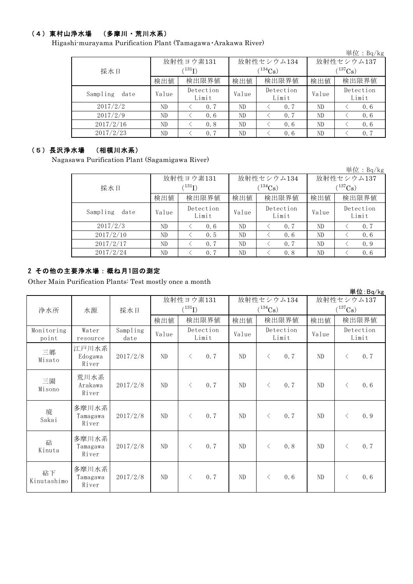## (4)東村山浄水場 (多摩川・荒川水系)

Higashi-murayama Purification Plant (Tamagawa・Arakawa River)

|                  |       |                    |       |                          |            | 単位: $Bq/kg$        |  |  |
|------------------|-------|--------------------|-------|--------------------------|------------|--------------------|--|--|
|                  |       | 放射性ヨウ素131          |       | 放射性セシウム134               | 放射性セシウム137 |                    |  |  |
| 採水日              | (131) |                    |       | $(134)$ C <sub>S</sub> ) | $(137)$ Cs |                    |  |  |
|                  | 検出値   | 検出限界値              | 検出値   | 検出限界値                    | 検出値        | 検出限界値              |  |  |
| Sampling<br>date | Value | Detection<br>Limit | Value | Detection<br>Limit       | Value      | Detection<br>Limit |  |  |
| 2017/2/2         | ND    | 0.7                | ND    | 0.7                      | ND.        | 0.6                |  |  |
| 2017/2/9         | ND    | 0.6                | ND    | 0.7                      | ND         | 0.6                |  |  |
| 2017/2/16        | ND    | 0.8                | ND    | 0.6                      | ND.        | 0.6                |  |  |
| 2017/2/23        | ND    | 0.7                | ND    | 0.6                      | ND         | 0.7                |  |  |

## (5)長沢浄水場 (相模川水系)

Nagasawa Purification Plant (Sagamigawa River)

単位:Bq/kg

| $T = 122 \cdot 1297$ |       |                    |       |                    |              |                    |  |  |  |
|----------------------|-------|--------------------|-------|--------------------|--------------|--------------------|--|--|--|
|                      |       | 放射性ヨウ素131          |       | 放射性セシウム134         | 放射性セシウム137   |                    |  |  |  |
| 採水日                  |       | $^{131}$ I)        |       | $(134)$ Cs         | $(^{137}Cs)$ |                    |  |  |  |
|                      | 検出値   | 検出限界値              | 検出値   | 検出限界値              | 検出値          | 検出限界値              |  |  |  |
| Sampling<br>date     | Value | Detection<br>Limit | Value | Detection<br>Limit | Value        | Detection<br>Limit |  |  |  |
| 2017/2/3             | ND    | 0.6                | ND    | 0.7                | ND           | 0.7                |  |  |  |
| 2017/2/10            | ND    | 0.5                | ND    | 0.6                | ND           | 0.6                |  |  |  |
| 2017/2/17            | ND    | 0.7                | ND    | 0.7                | ND           | 0.9                |  |  |  |
| 2017/2/24            | ND    | 0.7                | ND    | 0.8                | ND           | 0.6                |  |  |  |

# 2 その他の主要浄水場:概ね月1回の測定

Other Main Purification Plants: Test mostly once a month

|                     |                            |                  |           |             |                    |       |                    |            |       |              | 単位:Bq/kg           |
|---------------------|----------------------------|------------------|-----------|-------------|--------------------|-------|--------------------|------------|-------|--------------|--------------------|
|                     |                            |                  | 放射性ヨウ素131 |             | 放射性セシウム134         |       |                    | 放射性セシウム137 |       |              |                    |
| 浄水所                 | 水源                         | 採水日              |           | $(^{131}I)$ |                    |       | $(^{134}Cs)$       |            |       | $(^{137}Cs)$ |                    |
|                     |                            |                  | 検出値       |             | 検出限界値              | 検出値   | 検出限界値              |            | 検出値   |              | 検出限界値              |
| Monitoring<br>point | Water<br>resource          | Sampling<br>date | Value     |             | Detection<br>Limit | Value | Detection<br>Limit |            | Value |              | Detection<br>Limit |
| 三郷<br>Misato        | 江戸川水系<br>Edogawa<br>River  | 2017/2/8         | ND        | $\langle$   | 0.7                | ND    | $\langle$          | 0.7        | ND    | $\langle$    | 0.7                |
| 三園<br>Misono        | 荒川水系<br>Arakawa<br>River   | 2017/2/8         | ND        | $\langle$   | 0.7                | ND    | $\langle$          | 0.7        | ND    | $\langle$    | 0.6                |
| 境<br>Sakai          | 多摩川水系<br>Tamagawa<br>River | 2017/2/8         | ND        | $\langle$   | 0.7                | ND    | $\langle$          | 0.7        | ND    | $\langle$    | 0.9                |
| 砧<br>Kinuta         | 多摩川水系<br>Tamagawa<br>River | 2017/2/8         | ND        | $\langle$   | 0.7                | ND    | $\langle$          | 0.8        | ND    | $\lt$        | 0.7                |
| 砧下<br>Kinutashimo   | 多摩川水系<br>Tamagawa<br>River | 2017/2/8         | ND        | $\langle$   | 0.7                | ND    | $\langle$          | 0.6        | ND    | $\lt$        | 0.6                |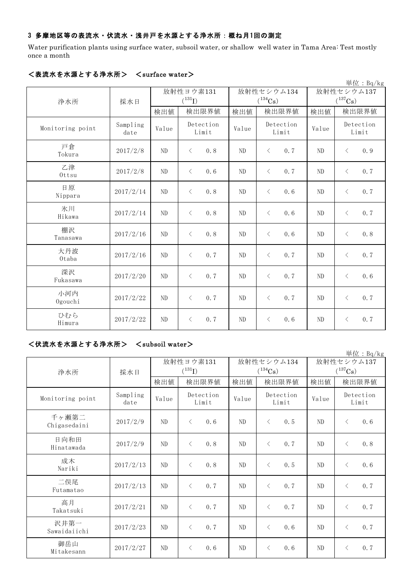## 3 多摩地区等の表流水・伏流水・浅井戸を水源とする浄水所:概ね月1回の測定

Water purification plants using surface water, subsoil water, or shallow well water in Tama Area: Test mostly once a month

|                  |                  |                          |                    |       |                            |                            | 単位: Bq/kg          |  |
|------------------|------------------|--------------------------|--------------------|-------|----------------------------|----------------------------|--------------------|--|
| 浄水所              | 採水日              | 放射性ヨウ素131<br>$(^{131}I)$ |                    |       | 放射性セシウム134<br>$(^{134}Cs)$ | 放射性セシウム137<br>$(^{137}Cs)$ |                    |  |
|                  |                  | 検出値                      | 検出限界値              | 検出値   | 検出限界値                      | 検出値                        | 検出限界値              |  |
| Monitoring point | Sampling<br>date | Value                    | Detection<br>Limit | Value | Detection<br>Limit         | Value                      | Detection<br>Limit |  |
| 戸倉<br>Tokura     | 2017/2/8         | ND                       | 0.8<br>$\langle$   | ND    | 0.7<br>$\langle$           | ND                         | 0.9<br>$\langle$   |  |
| 乙津<br>Ottsu      | 2017/2/8         | ND                       | 0.6<br>$\langle$   | ND    | 0.7<br>$\langle$           | ND                         | 0.7<br>$\langle$   |  |
| 日原<br>Nippara    | 2017/2/14        | ND                       | 0.8<br>$\langle$   | ND    | $\langle$<br>0.6           | ND                         | 0.7<br>$\langle$   |  |
| 氷川<br>Hikawa     | 2017/2/14        | ND                       | $\langle$<br>0.8   | ND    | $\lt$<br>0.6               | ND                         | 0.7<br>$\langle$   |  |
| 棚沢<br>Tanasawa   | 2017/2/16        | ND                       | $\langle$<br>0.8   | ND    | $\langle$<br>0.6           | ND                         | 0.8<br>$\langle$   |  |
| 大丹波<br>Otaba     | 2017/2/16        | ND                       | 0.7<br>$\langle$   | ND    | $\langle$<br>0.7           | ND                         | 0.7<br>$\langle$   |  |
| 深沢<br>Fukasawa   | 2017/2/20        | ND                       | 0.7<br>$\langle$   | ND    | $\langle$<br>0.7           | ND                         | 0.6<br>$\langle$   |  |
| 小河内<br>Ogouchi   | 2017/2/22        | ND                       | 0.7<br>$\langle$   | ND    | 0.7<br>$\langle$           | ND                         | 0.7<br>$\langle$   |  |
| ひむら<br>Himura    | 2017/2/22        | ND                       | $\langle$<br>0.7   | ND    | 0.6<br>$\langle$           | ND                         | 0.7<br>$\langle$   |  |

#### <表流水を水源とする浄水所> <surface water>

#### <伏流水を水源とする浄水所> <subsoil water>

単位:Bq/kg 検出値 | 検出値 | 検出値 | 検出限界値 | 検出値 Sampling and value vertection value vertection value<br>date Value Limit Value Limit Value  $2017/2/9$  ND < 0.6 ND < 0.5 ND < 0.6  $2017/2/9$  ND < 0.8 ND < 0.7 ND < 0.8  $2017/2/13$  ND < 0.8 ND < 0.5 ND < 0.6  $2017/2/13$  ND  $\leq 0.7$  ND  $\leq 0.7$  ND  $\leq 0.7$  $2017/2/21$  ND < 0.7 ND < 0.7 ND < 0.7  $2017/2/23$  ND < 0.7 ND < 0.6 ND < 0.7  $2017/2/27$  ND < 0.6 ND < 0.6 ND < 0.7 放射性セシウム137  $(^{137}\mathrm{Cs})$ 放射性セシウム134  $(^{134}Cs)$ Detection Limit 検出限界値 | 検出値 | 検出限界値 Monitoring point Sampling Value Detection Limit Detection Limit 浄水所 | 採水日 沢井第一 Sawaidaiichi 千ヶ瀬第二 Chigasedaini 日向和田 Hinatawada 高月 Takatsuki 御岳山 Mitakesann 二俣尾 Futamatao 成木 Nariki 放射性ヨウ素131  $(^{131}\text{I})$